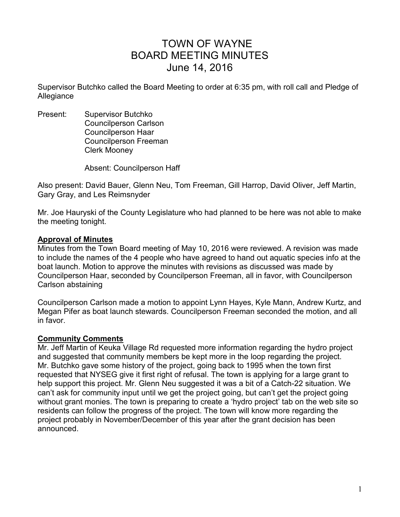# TOWN OF WAYNE BOARD MEETING MINUTES June 14, 2016

Supervisor Butchko called the Board Meeting to order at 6:35 pm, with roll call and Pledge of Allegiance

Present: Supervisor Butchko Councilperson Carlson Councilperson Haar Councilperson Freeman Clerk Mooney

Absent: Councilperson Haff

Also present: David Bauer, Glenn Neu, Tom Freeman, Gill Harrop, David Oliver, Jeff Martin, Gary Gray, and Les Reimsnyder

Mr. Joe Hauryski of the County Legislature who had planned to be here was not able to make the meeting tonight.

#### **Approval of Minutes**

Minutes from the Town Board meeting of May 10, 2016 were reviewed. A revision was made to include the names of the 4 people who have agreed to hand out aquatic species info at the boat launch. Motion to approve the minutes with revisions as discussed was made by Councilperson Haar, seconded by Councilperson Freeman, all in favor, with Councilperson Carlson abstaining

Councilperson Carlson made a motion to appoint Lynn Hayes, Kyle Mann, Andrew Kurtz, and Megan Pifer as boat launch stewards. Councilperson Freeman seconded the motion, and all in favor.

#### **Community Comments**

Mr. Jeff Martin of Keuka Village Rd requested more information regarding the hydro project and suggested that community members be kept more in the loop regarding the project. Mr. Butchko gave some history of the project, going back to 1995 when the town first requested that NYSEG give it first right of refusal. The town is applying for a large grant to help support this project. Mr. Glenn Neu suggested it was a bit of a Catch-22 situation. We can't ask for community input until we get the project going, but can't get the project going without grant monies. The town is preparing to create a 'hydro project' tab on the web site so residents can follow the progress of the project. The town will know more regarding the project probably in November/December of this year after the grant decision has been announced.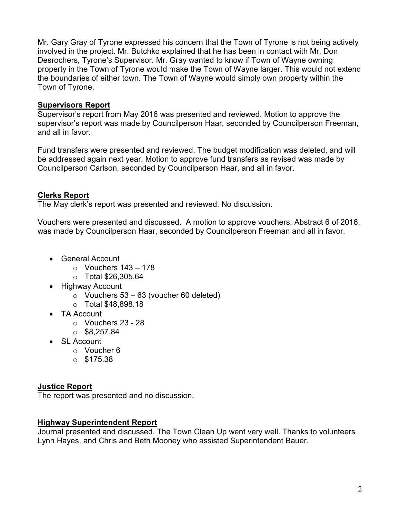Mr. Gary Gray of Tyrone expressed his concern that the Town of Tyrone is not being actively involved in the project. Mr. Butchko explained that he has been in contact with Mr. Don Desrochers, Tyrone's Supervisor. Mr. Gray wanted to know if Town of Wayne owning property in the Town of Tyrone would make the Town of Wayne larger. This would not extend the boundaries of either town. The Town of Wayne would simply own property within the Town of Tyrone.

# **Supervisors Report**

Supervisor's report from May 2016 was presented and reviewed. Motion to approve the supervisor's report was made by Councilperson Haar, seconded by Councilperson Freeman, and all in favor.

Fund transfers were presented and reviewed. The budget modification was deleted, and will be addressed again next year. Motion to approve fund transfers as revised was made by Councilperson Carlson, seconded by Councilperson Haar, and all in favor.

## **Clerks Report**

The May clerk's report was presented and reviewed. No discussion.

Vouchers were presented and discussed. A motion to approve vouchers, Abstract 6 of 2016, was made by Councilperson Haar, seconded by Councilperson Freeman and all in favor.

- General Account
	- $\circ$  Vouchers 143 178
	- o Total \$26,305.64
- Highway Account
	- $\circ$  Vouchers 53 63 (voucher 60 deleted)
	- o Total \$48,898.18
- TA Account
	- o Vouchers 23 28
	- $\circ$  \$8,257.84
- SL Account
	- o Voucher 6
	- $\circ$  \$175.38

#### **Justice Report**

The report was presented and no discussion.

#### **Highway Superintendent Report**

Journal presented and discussed. The Town Clean Up went very well. Thanks to volunteers Lynn Hayes, and Chris and Beth Mooney who assisted Superintendent Bauer.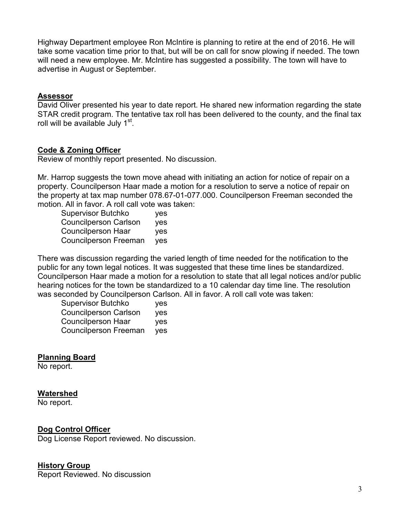Highway Department employee Ron McIntire is planning to retire at the end of 2016. He will take some vacation time prior to that, but will be on call for snow plowing if needed. The town will need a new employee. Mr. McIntire has suggested a possibility. The town will have to advertise in August or September.

#### **Assessor**

David Oliver presented his year to date report. He shared new information regarding the state STAR credit program. The tentative tax roll has been delivered to the county, and the final tax roll will be available July 1<sup>st</sup>.

# **Code & Zoning Officer**

Review of monthly report presented. No discussion.

Mr. Harrop suggests the town move ahead with initiating an action for notice of repair on a property. Councilperson Haar made a motion for a resolution to serve a notice of repair on the property at tax map number 078.67-01-077.000. Councilperson Freeman seconded the motion. All in favor. A roll call vote was taken:

| <b>Supervisor Butchko</b>    | yes |
|------------------------------|-----|
| <b>Councilperson Carlson</b> | ves |
| Councilperson Haar           | yes |
| <b>Councilperson Freeman</b> | yes |

There was discussion regarding the varied length of time needed for the notification to the public for any town legal notices. It was suggested that these time lines be standardized. Councilperson Haar made a motion for a resolution to state that all legal notices and/or public hearing notices for the town be standardized to a 10 calendar day time line. The resolution was seconded by Councilperson Carlson. All in favor. A roll call vote was taken:

| <b>Supervisor Butchko</b>    | yes |
|------------------------------|-----|
| <b>Councilperson Carlson</b> | yes |
| Councilperson Haar           | yes |
| <b>Councilperson Freeman</b> | yes |

#### **Planning Board**

No report.

#### **Watershed**

No report.

#### **Dog Control Officer**

Dog License Report reviewed. No discussion.

#### **History Group**

Report Reviewed. No discussion